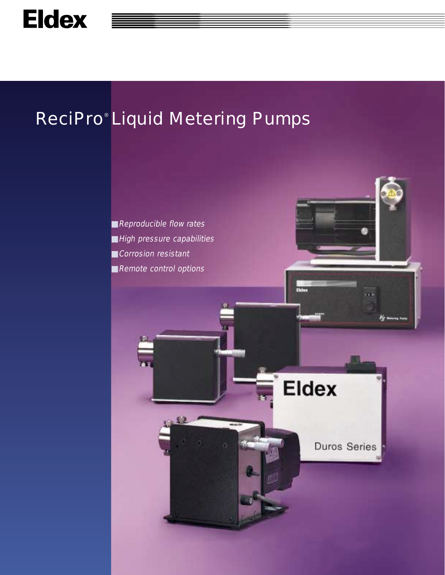# ReciPro® Liquid Metering Pumps

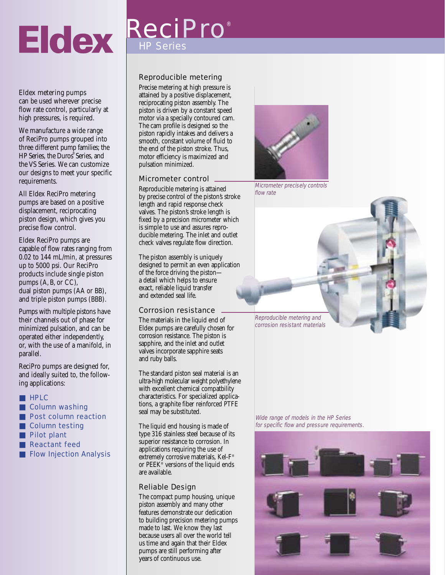# **Eldex**

# HP Series ReciPro ®

#### Eldex metering pumps

can be used wherever precise flow rate control, particularly at high pressures, is required.

We manufacture a wide range of ReciPro pumps grouped into three different pump families; the HP Series, the Duros® Series, and the VS Series. We can customize our designs to meet your specific requirements.

All Eldex ReciPro metering pumps are based on a positive displacement, reciprocating piston design, which gives you precise flow control.

Eldex ReciPro pumps are capable of flow rates ranging from 0.02 to 144 mL/min, at pressures up to 5000 psi. Our ReciPro products include single piston pumps (A, B, or CC), dual piston pumps (AA or BB), and triple piston pumps (BBB).

Pumps with multiple pistons have their channels out of phase for minimized pulsation, and can be operated either independently, or, with the use of a manifold, in parallel.

ReciPro pumps are designed for, and ideally suited to, the following applications:

- HPLC
- Column washing
- Post column reaction
- Column testing
- Pilot plant
- **Reactant feed**
- Flow Injection Analysis

#### Reproducible metering

Precise metering at high pressure is attained by a positive displacement, reciprocating piston assembly. The piston is driven by a constant speed motor via a specially contoured cam. The cam profile is designed so the piston rapidly intakes and delivers a smooth, constant volume of fluid to the end of the piston stroke. Thus, motor efficiency is maximized and pulsation minimized.

#### Micrometer control

Reproducible metering is attained by precise control of the piston's stroke length and rapid response check valves. The piston's stroke length is fixed by a precision micrometer which is simple to use and assures reproducible metering. The inlet and outlet check valves regulate flow direction.

The piston assembly is uniquely designed to permit an even application of the force driving the piston a detail which helps to ensure exact, reliable liquid transfer and extended seal life.

#### Corrosion resistance

The materials in the liquid end of Eldex pumps are carefully chosen for corrosion resistance. The piston is sapphire, and the inlet and outlet valves incorporate sapphire seats and ruby balls.

The standard piston seal material is an ultra-high molecular weight polyethylene with excellent chemical compatbility characteristics. For specialized applications, a graphite fiber reinforced PTFE seal may be substituted.

The liquid end housing is made of type 316 stainless steel because of its superior resistance to corrosion. In applications requiring the use of extremely corrosive materials, Kel-F® or PEEK<sup>®</sup> versions of the liquid ends are available.

#### Reliable Design

The compact pump housing, unique piston assembly and many other features demonstrate our dedication to building precision metering pumps made to last. We know they last because users all over the world tell us time and again that their Eldex pumps are still performing after years of continuous use.



Micrometer precisely controls flow rate

Reproducible metering and corrosion resistant materials

Wide range of models in the HP Series for specific flow and pressure requirements.

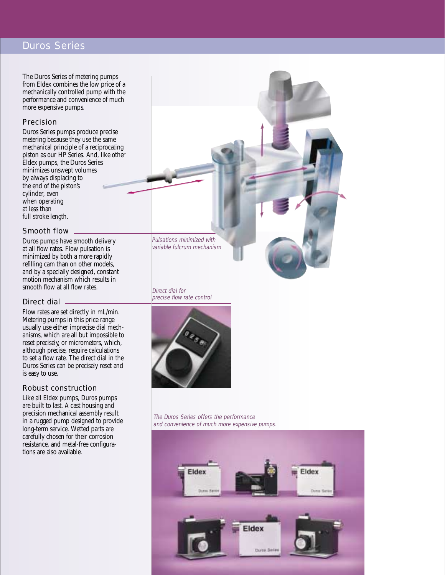#### Duros Series

The Duros Series of metering pumps from Eldex combines the low price of a mechanically controlled pump with the performance and convenience of much more expensive pumps.

#### Precision

Duros Series pumps produce precise metering because they use the same mechanical principle of a reciprocating piston as our HP Series. And, like other Eldex pumps, the Duros Series minimizes unswept volumes by always displacing to the end of the piston's cylinder, even when operating at less than full stroke length.

#### Smooth flow

Duros pumps have smooth delivery at all flow rates. Flow pulsation is minimized by both a more rapidly refilling cam than on other models, and by a specially designed, constant motion mechanism which results in smooth flow at all flow rates.

#### Direct dial

Flow rates are set directly in mL/min. Metering pumps in this price range usually use either imprecise dial mechanisms, which are all but impossible to reset precisely, or micrometers, which, although precise, require calculations to set a flow rate. The direct dial in the Duros Series can be precisely reset and is easy to use.

#### Robust construction

Like all Eldex pumps, Duros pumps are built to last. A cast housing and precision mechanical assembly result in a rugged pump designed to provide long-term service. Wetted parts are carefully chosen for their corrosion resistance, and metal-free configurations are also available.

Pulsations minimized with variable fulcrum mechanism

Direct dial for precise flow rate control



The Duros Series offers the performance and convenience of much more expensive pumps.

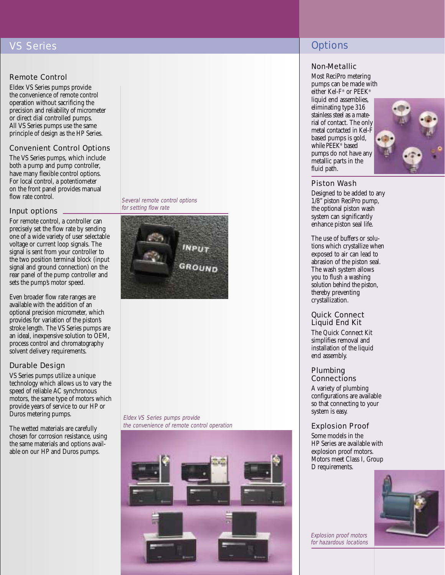## VS Series

#### Remote Control

Eldex VS Series pumps provide the convenience of remote control operation without sacrificing the precision and reliability of micrometer or direct dial controlled pumps. All VS Series pumps use the same principle of design as the HP Series.

#### Convenient Control Options

The VS Series pumps, which include both a pump and pump controller, have many flexible control options. For local control, a potentiometer on the front panel provides manual flow rate control.

#### Input options

For remote control, a controller can precisely set the flow rate by sending one of a wide variety of user selectable voltage or current loop signals. The signal is sent from your controller to the two position terminal block (input signal and ground connection) on the rear panel of the pump controller and sets the pump's motor speed.

Even broader flow rate ranges are available with the addition of an optional precision micrometer, which provides for variation of the piston's stroke length. The VS Series pumps are an ideal, inexpensive solution to OEM, process control and chromatography solvent delivery requirements.

#### Durable Design

VS Series pumps utilize a unique technology which allows us to vary the speed of reliable AC synchronous motors, the same type of motors which provide years of service to our HP or Duros metering pumps.

The wetted materials are carefully chosen for corrosion resistance, using the same materials and options available on our HP and Duros pumps.

Several remote control options for setting flow rate



Eldex VS Series pumps provide the convenience of remote control operation



# **Options**

#### Non-Metallic

Most ReciPro metering pumps can be made with either Kel-F® or PEEK® liquid end assemblies, eliminating type 316 stainless steel as a material of contact. The only metal contacted in Kel-F based pumps is gold, while PEEK® based pumps do not have any metallic parts in the fluid path.



#### Piston Wash

Designed to be added to any 1/8" piston ReciPro pump, the optional piston wash system can significantly enhance piston seal life.

The use of buffers or solutions which crystallize when exposed to air can lead to abrasion of the piston seal. The wash system allows you to flush a washing solution behind the piston, thereby preventing crystallization.

#### Quick Connect Liquid End Kit

The Quick Connect Kit simplifies removal and installation of the liquid end assembly.

#### Plumbing **Connections**

A variety of plumbing configurations are available so that connecting to your system is easy.

#### Explosion Proof

Some models in the HP Series are available with explosion proof motors. Motors meet Class I, Group D requirements.



Explosion proof motors for hazardous locations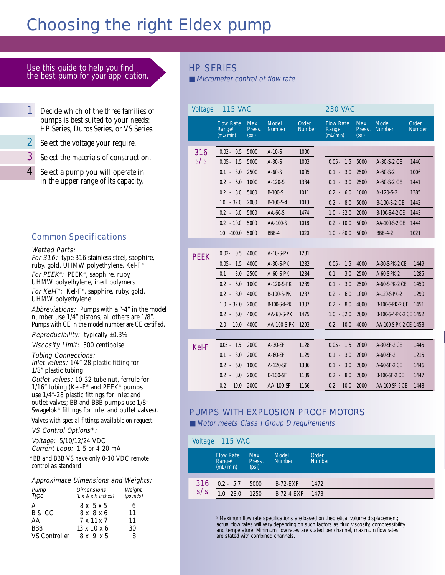# Choosing the right Eldex pump

#### Use this guide to help you find the best pump for your application.

- 1 Decide which of the three families of pumps is best suited to your needs: HP Series, Duros Series, or VS Series.
- **2** Select the voltage your require.
- **3** Select the materials of construction.
- 4 Select a pump you will operate in in the upper range of its capacity.

#### Common Specifications

#### Wetted Parts:

For 316: type 316 stainless steel, sapphire, ruby, gold, UHMW polyethylene, Kel-F® For PEEK®: PEEK®, sapphire, ruby, UHMW polyethylene, inert polymers For Kel-F®: Kel-F®, sapphire, ruby, gold, UHMW polyethylene

Abbreviations: Pumps with a "-4" in the model number use 1/4" pistons, all others are 1/8". Pumps with CE in the model number are CE certified.

**Reproducibility:** typically  $\pm 0.3\%$ 

Viscosity Limit: 500 centipoise

#### Tubing Connections:

Inlet valves: 1/4"-28 plastic fitting for 1/8" plastic tubing

Outlet valves: 10-32 tube nut, ferrule for 1/16" tubing (Kel-F® and PEEK® pumps use 1/4"-28 plastic fittings for inlet and outlet valves; BB and BBB pumps use 1/8" Swagelok® fittings for inlet and outlet valves).

*Valves with special fittings available on request.*

#### VS Control Options\*:

Voltage: 5/10/12/24 VDC Current Loop: 1-5 or 4-20 mA

*\*BB and BBB VS have only 0-10 VDC remote control as standard*

#### Approximate Dimensions and Weights:

| Pump<br>Type  | <b>Dimensions</b><br>$(L \times W \times H$ inches) | Weight<br>(pounds) |
|---------------|-----------------------------------------------------|--------------------|
| А             | $8x\sqrt{5}x5$                                      | 6                  |
| B & CC        | $8 \times 8 \times 6$                               | 11                 |
| AA            | $7 \times 11 \times 7$                              | 11                 |
| <b>BBB</b>    | $13 \times 10 \times 6$                             | 30                 |
| VS Controller | 8x9x5                                               | 8                  |

## HP SERIES

■ Micrometer control of flow rate

| <b>Voltage</b> | <b>115 VAC</b>                                            |                               |                               |                        | <b>230 VAC</b>                                                                                                                                        |  |  |
|----------------|-----------------------------------------------------------|-------------------------------|-------------------------------|------------------------|-------------------------------------------------------------------------------------------------------------------------------------------------------|--|--|
|                | <b>Flow Rate</b><br><b>Range</b> <sup>§</sup><br>(mL/min) | <b>Max</b><br>Press.<br>(psi) | <b>Model</b><br><b>Number</b> | Order<br><b>Number</b> | <b>Flow Rate</b><br><b>Model</b><br>Order<br><b>Max</b><br><b>Range</b> <sup>§</sup><br><b>Number</b><br><b>Number</b><br>Press.<br>(mL/min)<br>(psi) |  |  |
| 316            | $0.02 -$<br>0.5                                           | 5000                          | $A-10-S$                      | 1000                   |                                                                                                                                                       |  |  |
| s/s            | $0.05 -$<br>1.5                                           | 5000                          | $A-30-S$                      | 1003                   | $0.05 -$<br>1.5<br>5000<br>A-30-S-2 CE<br>1440                                                                                                        |  |  |
|                | 3.0<br>$0.1 -$                                            | 2500                          | $A-60-S$                      | 1005                   | $0.1 -$<br>3.0<br>2500<br>$A-60-S-2$<br>1006                                                                                                          |  |  |
|                | $0.2 -$<br>6.0                                            | 1000                          | $A-120-S$                     | 1384                   | $0.1 -$<br>3.0<br>2500<br>A-60-S-2 CE<br>1441                                                                                                         |  |  |
|                | $0.2 - 8.0$                                               | 5000                          | $B-100-S$                     | 1011                   | $0.2 -$<br>6.0<br>1000<br>$A-120-S-2$<br>1385                                                                                                         |  |  |
|                | $1.0 - 32.0$                                              | 2000                          | $B-100-S-4$                   | 1013                   | $0.2 - 8.0$<br>5000<br>B-100-S-2 CE<br>1442                                                                                                           |  |  |
|                | $0.2 - 6.0$                                               | 5000                          | $AA-60-S$                     | 1474                   | $1.0 - 32.0$<br>2000<br>B-100-S-4-2 CE<br>1443                                                                                                        |  |  |
|                | $0.2 - 10.0$                                              | 5000                          | AA-100-S                      | 1018                   | $0.2 - 10.0$<br>5000<br>AA-100-S-2 CE<br>1444                                                                                                         |  |  |
|                | $-100.0$<br>1.0                                           | 5000                          | BBB-4                         | 1020                   | $1.0 - 80.0$<br>5000<br><b>BBB-4-2</b><br>1021                                                                                                        |  |  |
|                |                                                           |                               |                               |                        |                                                                                                                                                       |  |  |
| <b>PEEK</b>    | $0.02 -$<br>0.5                                           | 4000                          | $A-10-S-PK$                   | 1281                   |                                                                                                                                                       |  |  |
|                | $0.05 -$<br>1.5                                           | 4000                          | $A-30-S-PK$                   | 1282                   | $0.05 -$<br>1.5<br>4000<br>A-30-S-PK-2 CE<br>1449                                                                                                     |  |  |
|                | $0.1 -$<br>3.0                                            | 2500                          | $A-60-S-PK$                   | 1284                   | $0.1 -$<br>3.0<br>2500<br>$A-60-S-PK-2$<br>1285                                                                                                       |  |  |
|                | $0.2 -$<br>6.0                                            | 1000                          | A-120-S-PK                    | 1289                   | 3.0<br>$0.1 -$<br>2500<br>A-60-S-PK-2 CE<br>1450                                                                                                      |  |  |
|                | $0.2 - 8.0$                                               | 4000                          | <b>B-100-S-PK</b>             | 1287                   | $0.2 -$<br>6.0<br>1000<br>1290<br>A-120-S-PK-2                                                                                                        |  |  |
|                | $1.0 - 32.0$                                              | 2000                          | B-100-S-4-PK                  | 1307                   | 8.0<br>4000<br><b>B-100-S-PK-2 CE</b><br>$0.2 -$<br>1451                                                                                              |  |  |
|                | $0.2 - 6.0$                                               | 4000                          | $AA-60-S-PK$                  | 1475                   | $1.0 - 32.0$<br>2000<br>B-100-S-4-PK-2 CE 1452                                                                                                        |  |  |
|                | $2.0 - 10.0$                                              | 4000                          | AA-100-S-PK                   | 1293                   | $0.2 - 10.0$<br>4000<br>AA-100-S-PK-2 CE 1453                                                                                                         |  |  |
|                |                                                           |                               |                               |                        |                                                                                                                                                       |  |  |
| <b>Kel-F</b>   | $0.05 - 1.5$                                              | 2000                          | $A-30-SF$                     | 1128                   | $0.05 -$<br>1.5<br>2000<br>A-30-SF-2 CE<br>1445                                                                                                       |  |  |
|                | $0.1 -$<br>3.0                                            | 2000                          | $A-60-SF$                     | 1129                   | $0.1 -$<br>3.0<br>2000<br>$A-60-SF-2$<br>1215                                                                                                         |  |  |
|                | 6.0<br>$0.2 -$                                            | 1000                          | A-120-SF                      | 1386                   | $0.1 -$<br>3.0<br>2000<br>A-60-SF-2 CE<br>1446                                                                                                        |  |  |
|                | $0.2 -$<br>8.0                                            | 2000                          | <b>B-100-SF</b>               | 1189                   | $0.2 -$<br>8.0<br>2000<br>1447<br><b>B-100-SF-2 CE</b>                                                                                                |  |  |
|                | $0.2 - 10.0$                                              | 2000                          | <b>AA-100-SF</b>              | 1156                   | 2000<br>$0.2 - 10.0$<br>AA-100-SF-2 CE<br>1448                                                                                                        |  |  |

## PUMPS WITH EXPLOSION PROOF MOTORS

■ Motor meets Class I Group D requirements

|     | Voltage 115 VAC                                    |                               |                               |                        |
|-----|----------------------------------------------------|-------------------------------|-------------------------------|------------------------|
|     | <b>Flow Rate</b><br>Range <sup>§</sup><br>(mL/min) | <b>Max</b><br>Press.<br>(psi) | <b>Model</b><br><b>Number</b> | Order<br><b>Number</b> |
|     |                                                    |                               |                               |                        |
| 316 | $0.2 - 5.7$                                        | 5000                          | $B-72-EXP$                    | 1472                   |
| s/s | $1.0 - 23.0$                                       | 1250                          | $B-72-4-EXP$                  | 1473                   |

§ Maximum flow rate specifications are based on theoretical volume displacement; actual flow rates will vary depending on such factors as fluid viscosity, compressibility and temperature. Minimum flow rates are stated per channel, maximum flow rates are stated with combined channels.